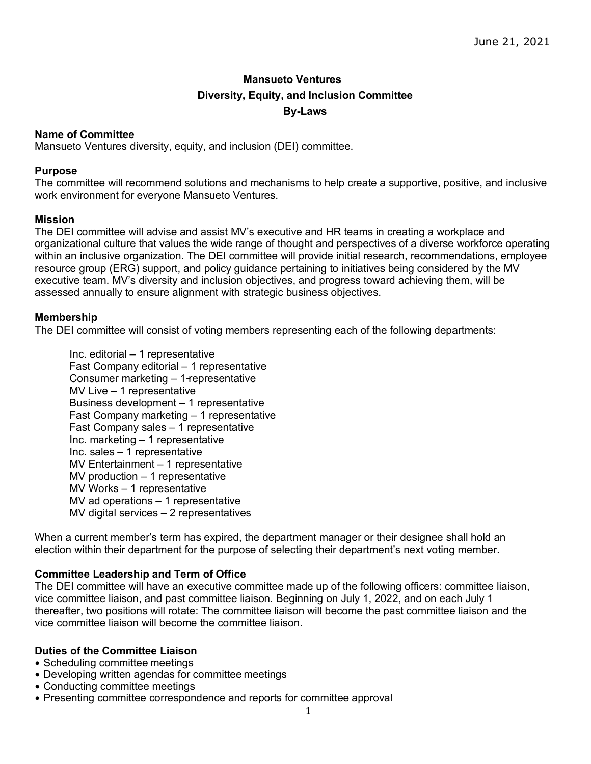# **Mansueto Ventures Diversity, Equity, and Inclusion Committee By-Laws**

# **Name of Committee**

Mansueto Ventures diversity, equity, and inclusion (DEI) committee.

# **Purpose**

The committee will recommend solutions and mechanisms to help create a supportive, positive, and inclusive work environment for everyone Mansueto Ventures.

# **Mission**

The DEI committee will advise and assist MV's executive and HR teams in creating a workplace and organizational culture that values the wide range of thought and perspectives of a diverse workforce operating within an inclusive organization. The DEI committee will provide initial research, recommendations, employee resource group (ERG) support, and policy guidance pertaining to initiatives being considered by the MV executive team. MV's diversity and inclusion objectives, and progress toward achieving them, will be assessed annually to ensure alignment with strategic business objectives.

# **Membership**

The DEI committee will consist of voting members representing each of the following departments:

Inc. editorial – 1 representative Fast Company editorial – 1 representative Consumer marketing – 1 representative MV Live – 1 representative Business development – 1 representative Fast Company marketing – 1 representative Fast Company sales – 1 representative Inc. marketing – 1 representative Inc. sales – 1 representative MV Entertainment – 1 representative MV production – 1 representative MV Works – 1 representative MV ad operations – 1 representative MV digital services – 2 representatives

When a current member's term has expired, the department manager or their designee shall hold an election within their department for the purpose of selecting their department's next voting member.

# **Committee Leadership and Term of Office**

The DEI committee will have an executive committee made up of the following officers: committee liaison, vice committee liaison, and past committee liaison. Beginning on July 1, 2022, and on each July 1 thereafter, two positions will rotate: The committee liaison will become the past committee liaison and the vice committee liaison will become the committee liaison.

# **Duties of the Committee Liaison**

- Scheduling committee meetings
- Developing written agendas for committee meetings
- Conducting committee meetings
- Presenting committee correspondence and reports for committee approval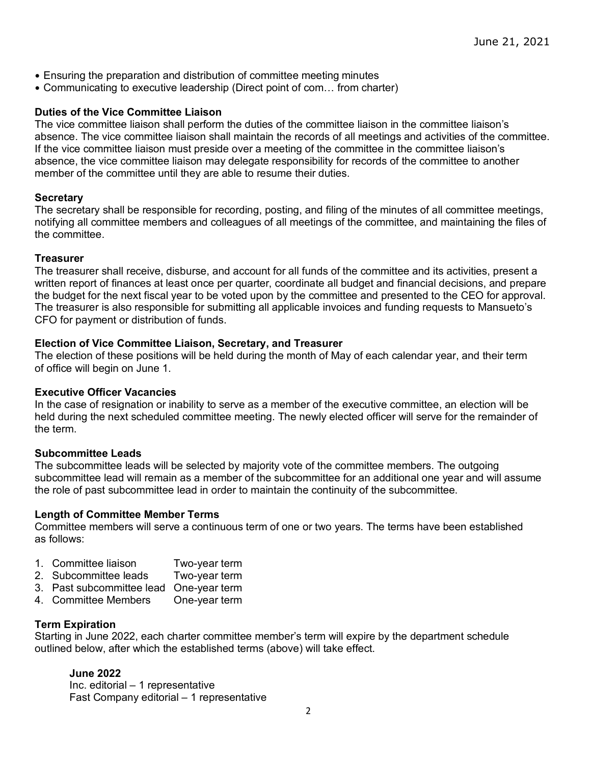- Ensuring the preparation and distribution of committee meeting minutes
- Communicating to executive leadership (Direct point of com… from charter)

### **Duties of the Vice Committee Liaison**

The vice committee liaison shall perform the duties of the committee liaison in the committee liaison's absence. The vice committee liaison shall maintain the records of all meetings and activities of the committee. If the vice committee liaison must preside over a meeting of the committee in the committee liaison's absence, the vice committee liaison may delegate responsibility for records of the committee to another member of the committee until they are able to resume their duties.

# **Secretary**

The secretary shall be responsible for recording, posting, and filing of the minutes of all committee meetings, notifying all committee members and colleagues of all meetings of the committee, and maintaining the files of the committee.

#### **Treasurer**

The treasurer shall receive, disburse, and account for all funds of the committee and its activities, present a written report of finances at least once per quarter, coordinate all budget and financial decisions, and prepare the budget for the next fiscal year to be voted upon by the committee and presented to the CEO for approval. The treasurer is also responsible for submitting all applicable invoices and funding requests to Mansueto's CFO for payment or distribution of funds.

### **Election of Vice Committee Liaison, Secretary, and Treasurer**

The election of these positions will be held during the month of May of each calendar year, and their term of office will begin on June 1.

#### **Executive Officer Vacancies**

In the case of resignation or inability to serve as a member of the executive committee, an election will be held during the next scheduled committee meeting. The newly elected officer will serve for the remainder of the term.

# **Subcommittee Leads**

The subcommittee leads will be selected by majority vote of the committee members. The outgoing subcommittee lead will remain as a member of the subcommittee for an additional one year and will assume the role of past subcommittee lead in order to maintain the continuity of the subcommittee.

#### **Length of Committee Member Terms**

Committee members will serve a continuous term of one or two years. The terms have been established as follows:

- 1. Committee liaison Two-year term
- 2. Subcommittee leads Two-year term
- 3. Past subcommittee lead One-year term
- 4. Committee Members One-year term

#### **Term Expiration**

Starting in June 2022, each charter committee member's term will expire by the department schedule outlined below, after which the established terms (above) will take effect.

# **June 2022**

Inc. editorial – 1 representative Fast Company editorial – 1 representative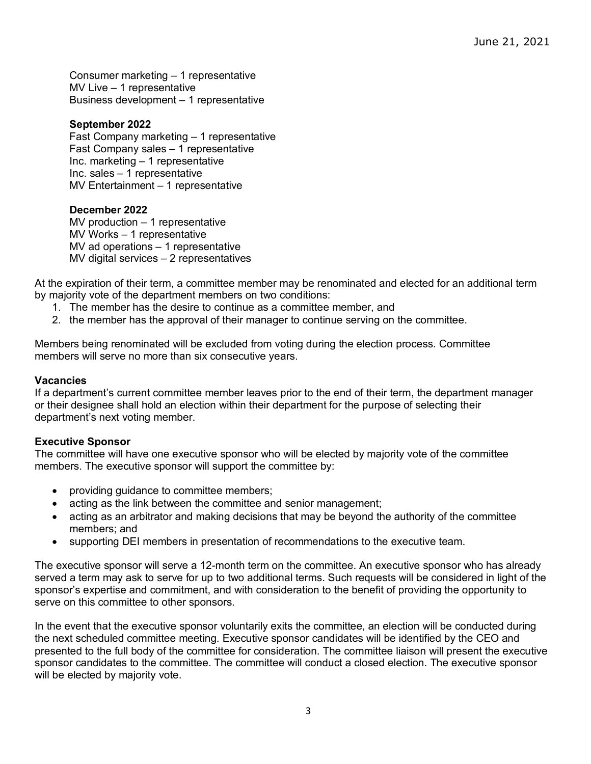Consumer marketing – 1 representative MV Live – 1 representative Business development – 1 representative

# **September 2022**

Fast Company marketing – 1 representative Fast Company sales – 1 representative Inc. marketing – 1 representative Inc. sales – 1 representative MV Entertainment – 1 representative

### **December 2022**

MV production – 1 representative MV Works – 1 representative MV ad operations – 1 representative MV digital services – 2 representatives

At the expiration of their term, a committee member may be renominated and elected for an additional term by majority vote of the department members on two conditions:

- 1. The member has the desire to continue as a committee member, and
- 2. the member has the approval of their manager to continue serving on the committee.

Members being renominated will be excluded from voting during the election process. Committee members will serve no more than six consecutive years.

#### **Vacancies**

If a department's current committee member leaves prior to the end of their term, the department manager or their designee shall hold an election within their department for the purpose of selecting their department's next voting member.

#### **Executive Sponsor**

The committee will have one executive sponsor who will be elected by majority vote of the committee members. The executive sponsor will support the committee by:

- providing guidance to committee members;
- acting as the link between the committee and senior management;
- acting as an arbitrator and making decisions that may be beyond the authority of the committee members; and
- supporting DEI members in presentation of recommendations to the executive team.

The executive sponsor will serve a 12-month term on the committee. An executive sponsor who has already served a term may ask to serve for up to two additional terms. Such requests will be considered in light of the sponsor's expertise and commitment, and with consideration to the benefit of providing the opportunity to serve on this committee to other sponsors.

In the event that the executive sponsor voluntarily exits the committee, an election will be conducted during the next scheduled committee meeting. Executive sponsor candidates will be identified by the CEO and presented to the full body of the committee for consideration. The committee liaison will present the executive sponsor candidates to the committee. The committee will conduct a closed election. The executive sponsor will be elected by majority vote.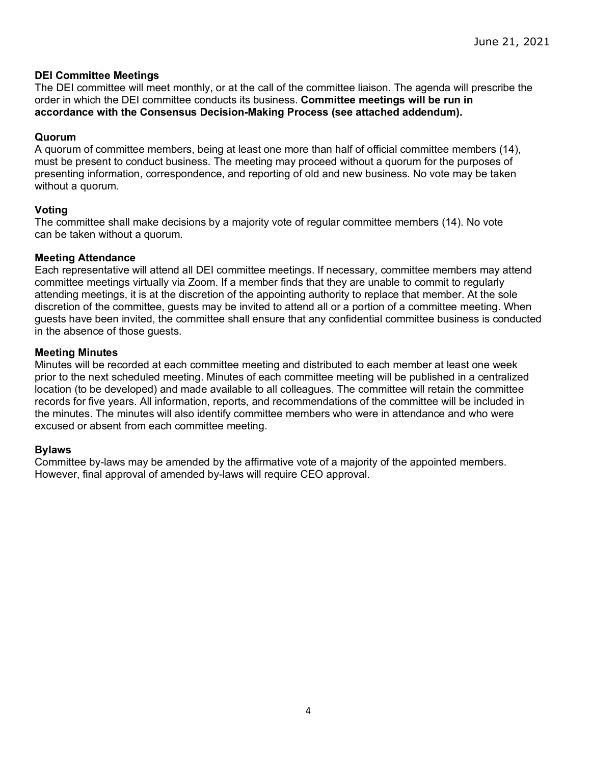# **DEI Committee Meetings**

The DEI committee will meet monthly, or at the call of the committee liaison. The agenda will prescribe the order in which the DEI committee conducts its business. **Committee meetings will be run in accordance with the Consensus Decision-Making Process (see attached addendum).**

# **Quorum**

A quorum of committee members, being at least one more than half of official committee members (14), must be present to conduct business. The meeting may proceed without a quorum for the purposes of presenting information, correspondence, and reporting of old and new business. No vote may be taken without a quorum.

### **Voting**

The committee shall make decisions by a majority vote of regular committee members (14). No vote can be taken without a quorum.

### **Meeting Attendance**

Each representative will attend all DEI committee meetings. If necessary, committee members may attend committee meetings virtually via Zoom. If a member finds that they are unable to commit to regularly attending meetings, it is at the discretion of the appointing authority to replace that member. At the sole discretion of the committee, guests may be invited to attend all or a portion of a committee meeting. When guests have been invited, the committee shall ensure that any confidential committee business is conducted in the absence of those guests.

### **Meeting Minutes**

Minutes will be recorded at each committee meeting and distributed to each member at least one week prior to the next scheduled meeting. Minutes of each committee meeting will be published in a centralized location (to be developed) and made available to all colleagues. The committee will retain the committee records for five years. All information, reports, and recommendations of the committee will be included in the minutes. The minutes will also identify committee members who were in attendance and who were excused or absent from each committee meeting.

#### **Bylaws**

Committee by-laws may be amended by the affirmative vote of a majority of the appointed members. However, final approval of amended by-laws will require CEO approval.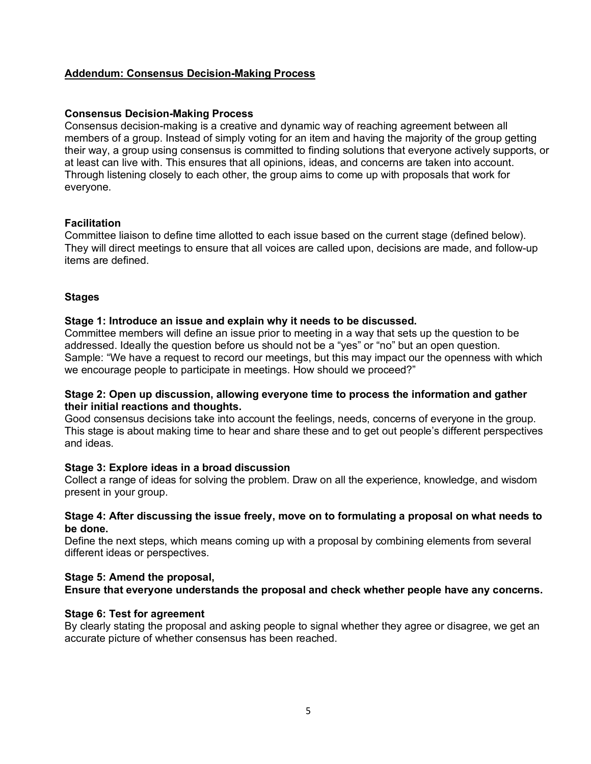# **Addendum: Consensus Decision-Making Process**

#### **Consensus Decision-Making Process**

Consensus decision-making is a creative and dynamic way of reaching agreement between all members of a group. Instead of simply voting for an item and having the majority of the group getting their way, a group using consensus is committed to finding solutions that everyone actively supports, or at least can live with. This ensures that all opinions, ideas, and concerns are taken into account. Through listening closely to each other, the group aims to come up with proposals that work for everyone.

### **Facilitation**

Committee liaison to define time allotted to each issue based on the current stage (defined below). They will direct meetings to ensure that all voices are called upon, decisions are made, and follow-up items are defined.

### **Stages**

### **Stage 1: Introduce an issue and explain why it needs to be discussed.**

Committee members will define an issue prior to meeting in a way that sets up the question to be addressed. Ideally the question before us should not be a "yes" or "no" but an open question. Sample: "We have a request to record our meetings, but this may impact our the openness with which we encourage people to participate in meetings. How should we proceed?"

#### **Stage 2: Open up discussion, allowing everyone time to process the information and gather their initial reactions and thoughts.**

Good consensus decisions take into account the feelings, needs, concerns of everyone in the group. This stage is about making time to hear and share these and to get out people's different perspectives and ideas.

#### **Stage 3: Explore ideas in a broad discussion**

Collect a range of ideas for solving the problem. Draw on all the experience, knowledge, and wisdom present in your group.

#### **Stage 4: After discussing the issue freely, move on to formulating a proposal on what needs to be done.**

Define the next steps, which means coming up with a proposal by combining elements from several different ideas or perspectives.

#### **Stage 5: Amend the proposal,**

**Ensure that everyone understands the proposal and check whether people have any concerns.**

#### **Stage 6: Test for agreement**

By clearly stating the proposal and asking people to signal whether they agree or disagree, we get an accurate picture of whether consensus has been reached.